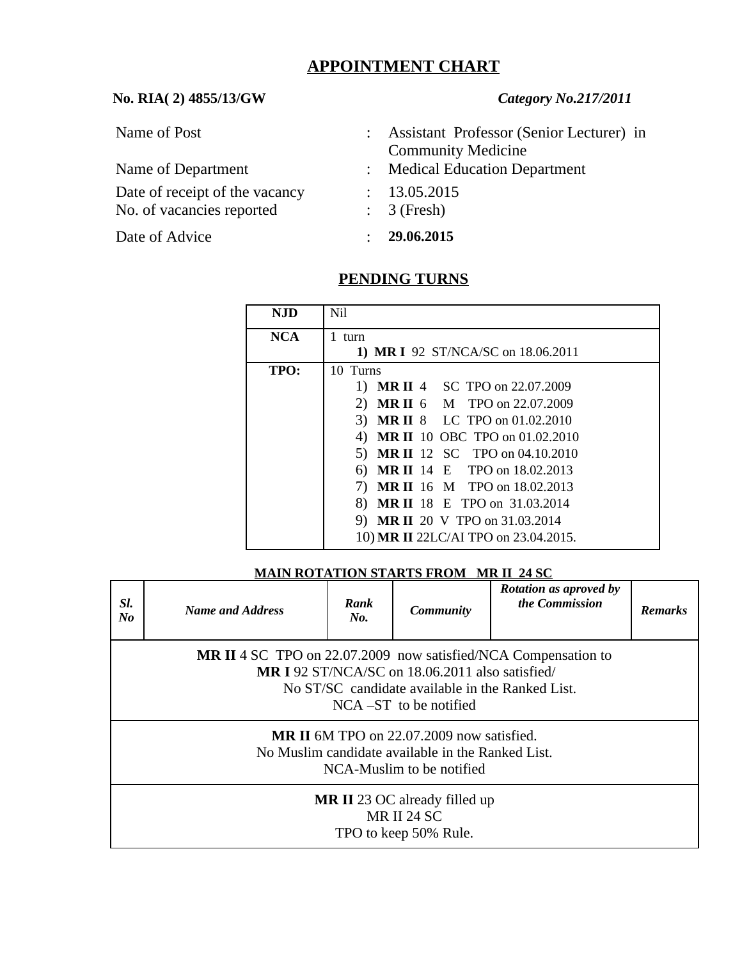# **APPOINTMENT CHART**

### **No. RIA( 2) 4855/13/GW** *Category No.217/2011*

Name of Post : Assistant Professor (Senior Lecturer) in Community Medicine

Date of receipt of the vacancy : 13.05.2015 No. of vacancies reported : 3 (Fresh)

Date of Advice : **29.06.2015**

- Name of Department : Medical Education Department
	-
	-
	-

# **PENDING TURNS**

| <b>NJD</b> | Nil                                         |  |  |  |
|------------|---------------------------------------------|--|--|--|
| <b>NCA</b> | 1 turn                                      |  |  |  |
|            | 1) MR I 92 ST/NCA/SC on 18.06.2011          |  |  |  |
| TPO:       | 10 Turns                                    |  |  |  |
|            | <b>MR II 4 SC TPO on 22.07.2009</b>         |  |  |  |
|            | <b>MR II 6 M TPO on 22.07.2009</b><br>2)    |  |  |  |
|            | <b>MR II 8 LC TPO on 01.02.2010</b><br>3)   |  |  |  |
|            | <b>MR II</b> 10 OBC TPO on 01.02.2010<br>4) |  |  |  |
|            | <b>MR II</b> 12 SC TPO on 04.10.2010<br>5)  |  |  |  |
|            | <b>MR II</b> 14 E TPO on 18.02.2013<br>6)   |  |  |  |
|            | <b>MR II</b> 16 M TPO on 18.02.2013<br>7)   |  |  |  |
|            | 8)<br><b>MR II</b> 18 E TPO on 31.03.2014   |  |  |  |
|            | <b>MR II</b> 20 V TPO on 31.03.2014<br>9)   |  |  |  |
|            | 10) MR II 22LC/AI TPO on 23.04.2015.        |  |  |  |

**MAIN ROTATION STARTS FROM MR II 24 SC**

| SI.<br>No                                                                                                                          | <b>Name and Address</b>                                                                                                                                                                                         | Rank<br>No. | <b>Community</b> | <b>Rotation as aproved by</b><br>the Commission | <b>Remarks</b> |  |  |  |
|------------------------------------------------------------------------------------------------------------------------------------|-----------------------------------------------------------------------------------------------------------------------------------------------------------------------------------------------------------------|-------------|------------------|-------------------------------------------------|----------------|--|--|--|
|                                                                                                                                    | <b>MR II 4 SC TPO on 22.07.2009 now satisfied/NCA Compensation to</b><br><b>MRI 92 ST/NCA/SC on 18.06.2011 also satisfied/</b><br>No ST/SC candidate available in the Ranked List.<br>$NCA - ST$ to be notified |             |                  |                                                 |                |  |  |  |
| <b>MR II</b> 6M TPO on 22.07.2009 now satisfied.<br>No Muslim candidate available in the Ranked List.<br>NCA-Muslim to be notified |                                                                                                                                                                                                                 |             |                  |                                                 |                |  |  |  |
|                                                                                                                                    | <b>MR II 23 OC already filled up</b><br><b>MR II 24 SC</b><br>TPO to keep 50% Rule.                                                                                                                             |             |                  |                                                 |                |  |  |  |